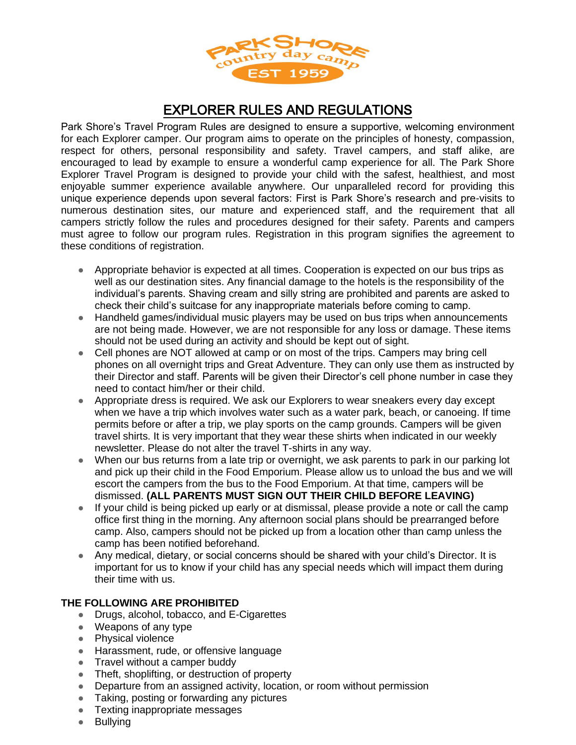

## EXPLORER RULES AND REGULATIONS

Park Shore's Travel Program Rules are designed to ensure a supportive, welcoming environment for each Explorer camper. Our program aims to operate on the principles of honesty, compassion, respect for others, personal responsibility and safety. Travel campers, and staff alike, are encouraged to lead by example to ensure a wonderful camp experience for all. The Park Shore Explorer Travel Program is designed to provide your child with the safest, healthiest, and most enjoyable summer experience available anywhere. Our unparalleled record for providing this unique experience depends upon several factors: First is Park Shore's research and pre-visits to numerous destination sites, our mature and experienced staff, and the requirement that all campers strictly follow the rules and procedures designed for their safety. Parents and campers must agree to follow our program rules. Registration in this program signifies the agreement to these conditions of registration.

- Appropriate behavior is expected at all times. Cooperation is expected on our bus trips as well as our destination sites. Any financial damage to the hotels is the responsibility of the individual's parents. Shaving cream and silly string are prohibited and parents are asked to check their child's suitcase for any inappropriate materials before coming to camp.
- Handheld games/individual music players may be used on bus trips when announcements are not being made. However, we are not responsible for any loss or damage. These items should not be used during an activity and should be kept out of sight.
- Cell phones are NOT allowed at camp or on most of the trips. Campers may bring cell phones on all overnight trips and Great Adventure. They can only use them as instructed by their Director and staff. Parents will be given their Director's cell phone number in case they need to contact him/her or their child.
- Appropriate dress is required. We ask our Explorers to wear sneakers every day except when we have a trip which involves water such as a water park, beach, or canoeing. If time permits before or after a trip, we play sports on the camp grounds. Campers will be given travel shirts. It is very important that they wear these shirts when indicated in our weekly newsletter. Please do not alter the travel T-shirts in any way.
- When our bus returns from a late trip or overnight, we ask parents to park in our parking lot and pick up their child in the Food Emporium. Please allow us to unload the bus and we will escort the campers from the bus to the Food Emporium. At that time, campers will be dismissed. **(ALL PARENTS MUST SIGN OUT THEIR CHILD BEFORE LEAVING)**
- If your child is being picked up early or at dismissal, please provide a note or call the camp office first thing in the morning. Any afternoon social plans should be prearranged before camp. Also, campers should not be picked up from a location other than camp unless the camp has been notified beforehand.
- Any medical, dietary, or social concerns should be shared with your child's Director. It is important for us to know if your child has any special needs which will impact them during their time with us.

## **THE FOLLOWING ARE PROHIBITED**

- Drugs, alcohol, tobacco, and E-Cigarettes
- Weapons of any type
- Physical violence
- Harassment, rude, or offensive language
- Travel without a camper buddy
- Theft, shoplifting, or destruction of property
- Departure from an assigned activity, location, or room without permission
- Taking, posting or forwarding any pictures
- Texting inappropriate messages
- **Bullying**